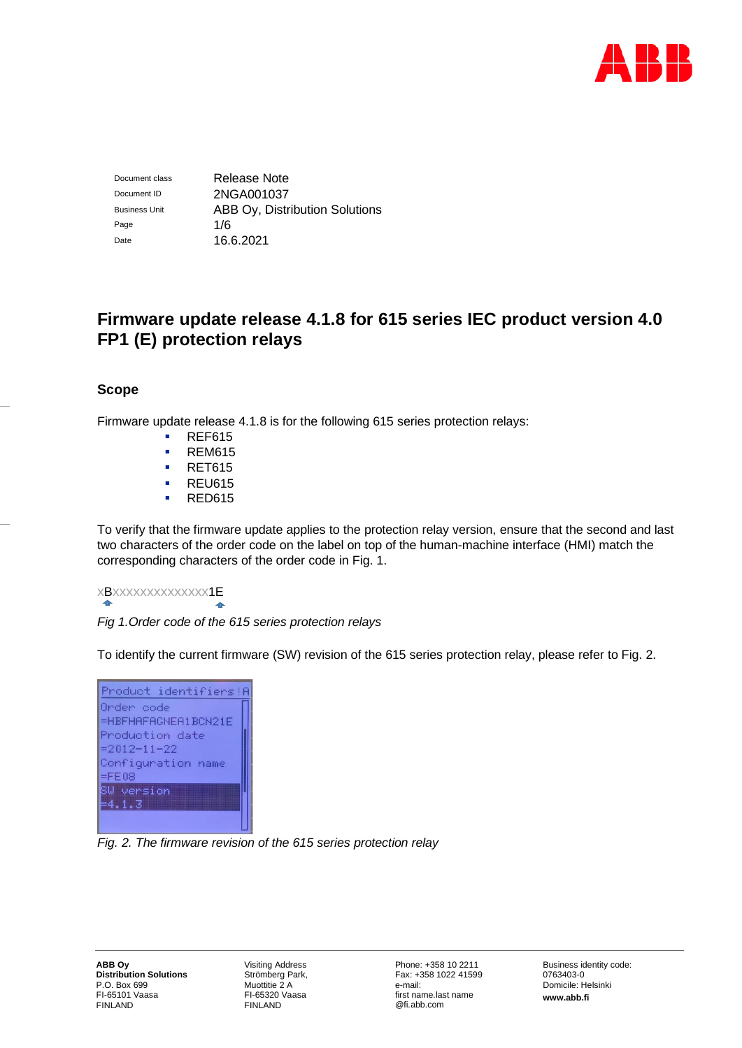

Document class Release Note Document ID 2NGA001037 Business Unit **ABB Oy, Distribution Solutions** Page 1/6 Date 16.6.2021

# **Firmware update release 4.1.8 for 615 series IEC product version 4.0 FP1 (E) protection relays**

# **Scope**

Firmware update release 4.1.8 is for the following 615 series protection relays:

- **REF615**
- REM615
- RET615
- REU615
- RED615

To verify that the firmware update applies to the protection relay version, ensure that the second and last two characters of the order code on the label on top of the human-machine interface (HMI) match the corresponding characters of the order code in Fig. 1.

# xBxxxxxxxxxxxxxx1E

*Fig 1.Order code of the 615 series protection relays*

To identify the current firmware (SW) revision of the 615 series protection relay, please refer to Fig. 2.



*Fig. 2. The firmware revision of the 615 series protection relay*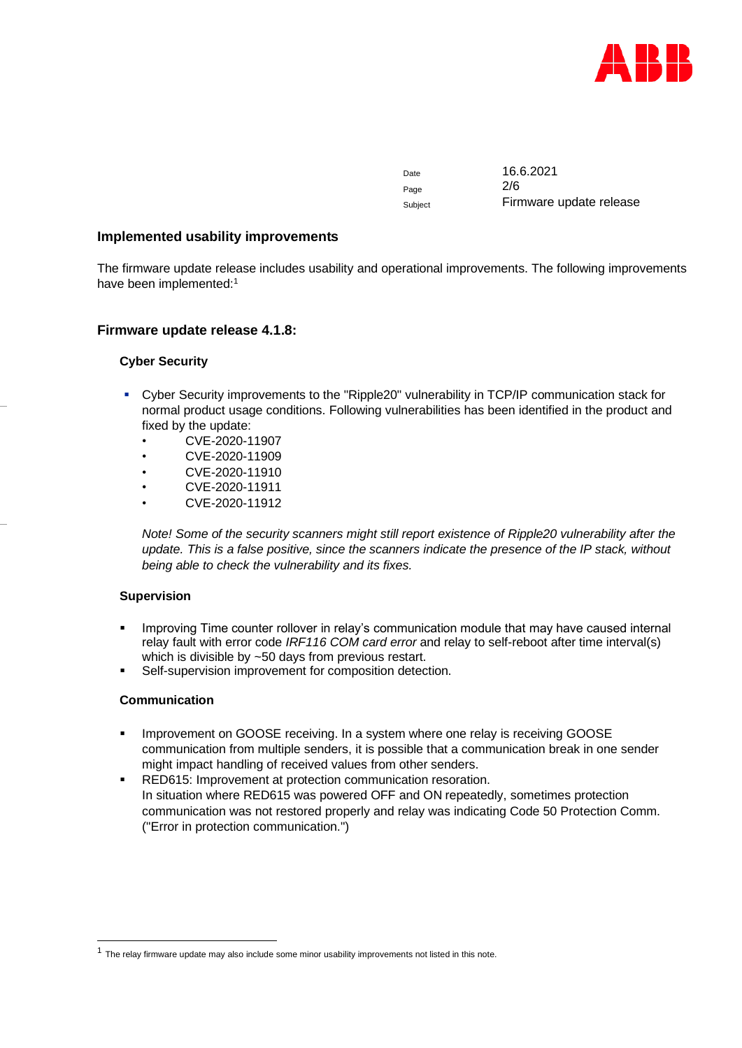

Date 16.6.2021 Page 2/6 Subject **Firmware update release** 

#### **Implemented usability improvements**

The firmware update release includes usability and operational improvements. The following improvements have been implemented:<sup>1</sup>

# **Firmware update release 4.1.8:**

#### **Cyber Security**

- Cyber Security improvements to the "Ripple20" vulnerability in TCP/IP communication stack for normal product usage conditions. Following vulnerabilities has been identified in the product and fixed by the update:
	- CVE-2020-11907
	- CVE-2020-11909
	- CVE-2020-11910
	- CVE-2020-11911
	- CVE-2020-11912

*Note! Some of the security scanners might still report existence of Ripple20 vulnerability after the update. This is a false positive, since the scanners indicate the presence of the IP stack, without being able to check the vulnerability and its fixes.*

#### **Supervision**

- Improving Time counter rollover in relay's communication module that may have caused internal relay fault with error code *IRF116 COM card error* and relay to self-reboot after time interval(s) which is divisible by ~50 days from previous restart.
- Self-supervision improvement for composition detection.

# **Communication**

- Improvement on GOOSE receiving. In a system where one relay is receiving GOOSE communication from multiple senders, it is possible that a communication break in one sender might impact handling of received values from other senders.
- RED615: Improvement at protection communication resoration. In situation where RED615 was powered OFF and ON repeatedly, sometimes protection communication was not restored properly and relay was indicating Code 50 Protection Comm. ("Error in protection communication.")

<sup>&</sup>lt;sup>1</sup> The relay firmware update may also include some minor usability improvements not listed in this note.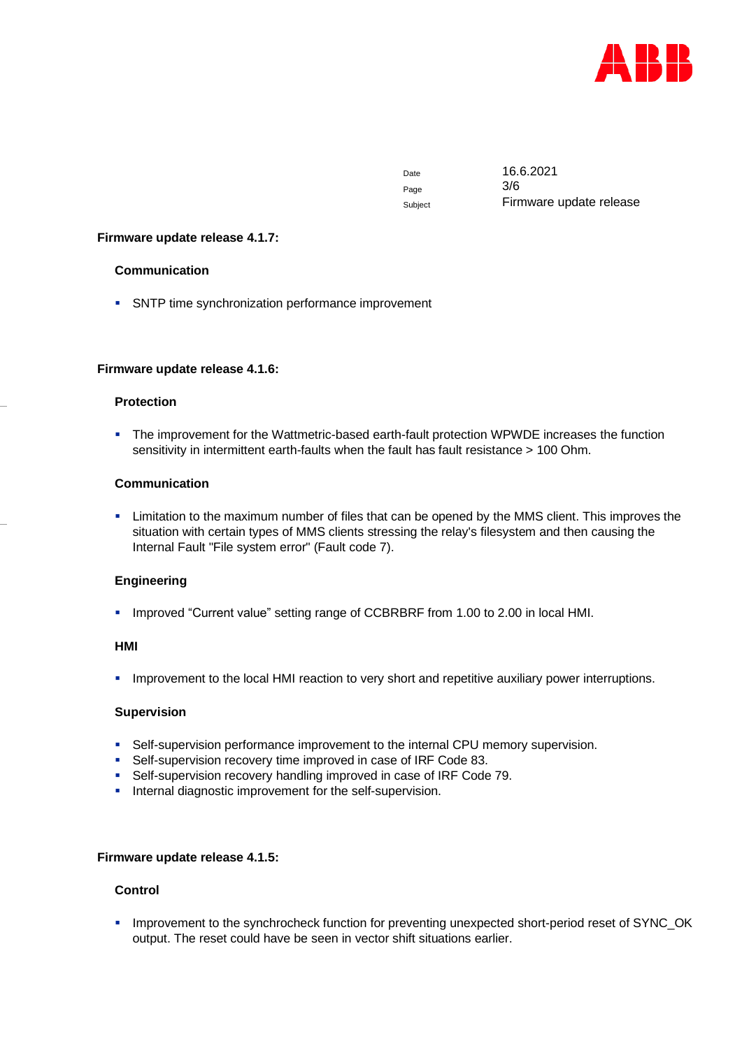

Page 3/6

Date 16.6.2021 Subject **Firmware update release** 

#### **Firmware update release 4.1.7:**

#### **Communication**

**• SNTP time synchronization performance improvement** 

#### **Firmware update release 4.1.6:**

#### **Protection**

▪ The improvement for the Wattmetric-based earth-fault protection WPWDE increases the function sensitivity in intermittent earth-faults when the fault has fault resistance > 100 Ohm.

#### **Communication**

**EXECT** Limitation to the maximum number of files that can be opened by the MMS client. This improves the situation with certain types of MMS clients stressing the relay's filesystem and then causing the Internal Fault "File system error" (Fault code 7).

# **Engineering**

▪ Improved "Current value" setting range of CCBRBRF from 1.00 to 2.00 in local HMI.

#### **HMI**

**·** Improvement to the local HMI reaction to very short and repetitive auxiliary power interruptions.

# **Supervision**

- **•** Self-supervision performance improvement to the internal CPU memory supervision.
- Self-supervision recovery time improved in case of IRF Code 83.
- Self-supervision recovery handling improved in case of IRF Code 79.
- **·** Internal diagnostic improvement for the self-supervision.

#### **Firmware update release 4.1.5:**

# **Control**

▪ Improvement to the synchrocheck function for preventing unexpected short-period reset of SYNC\_OK output. The reset could have be seen in vector shift situations earlier.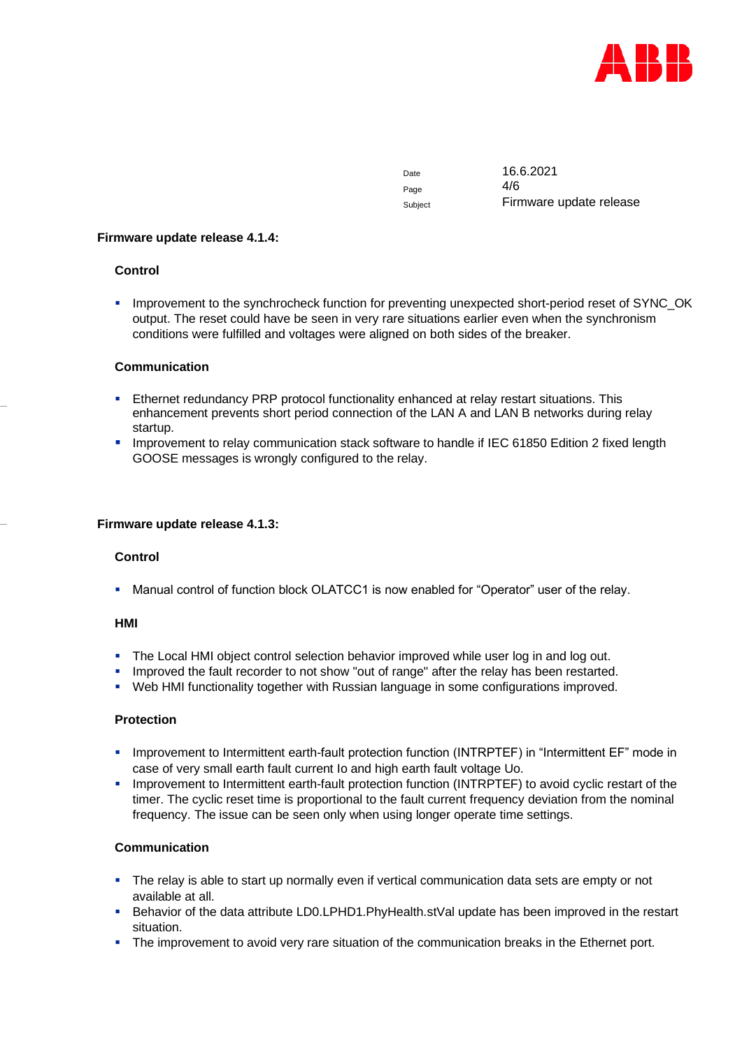

Page  $4/6$ 

Date 16.6.2021 Subject **Firmware update release** 

#### **Firmware update release 4.1.4:**

# **Control**

**.** Improvement to the synchrocheck function for preventing unexpected short-period reset of SYNC\_OK output. The reset could have be seen in very rare situations earlier even when the synchronism conditions were fulfilled and voltages were aligned on both sides of the breaker.

# **Communication**

- **EXECTERCY EXECTERCY PRP protocol functionality enhanced at relay restart situations. This** enhancement prevents short period connection of the LAN A and LAN B networks during relay startup.
- Improvement to relay communication stack software to handle if IEC 61850 Edition 2 fixed length GOOSE messages is wrongly configured to the relay.

#### **Firmware update release 4.1.3:**

# **Control**

**■** Manual control of function block OLATCC1 is now enabled for "Operator" user of the relay.

# **HMI**

- The Local HMI object control selection behavior improved while user log in and log out.
- **·** Improved the fault recorder to not show "out of range" after the relay has been restarted.
- Web HMI functionality together with Russian language in some configurations improved.

# **Protection**

- Improvement to Intermittent earth-fault protection function (INTRPTEF) in "Intermittent EF" mode in case of very small earth fault current Io and high earth fault voltage Uo.
- Improvement to Intermittent earth-fault protection function (INTRPTEF) to avoid cyclic restart of the timer. The cyclic reset time is proportional to the fault current frequency deviation from the nominal frequency. The issue can be seen only when using longer operate time settings.

# **Communication**

- The relay is able to start up normally even if vertical communication data sets are empty or not available at all.
- Behavior of the data attribute LD0.LPHD1.PhyHealth.stVal update has been improved in the restart situation.
- **•** The improvement to avoid very rare situation of the communication breaks in the Ethernet port.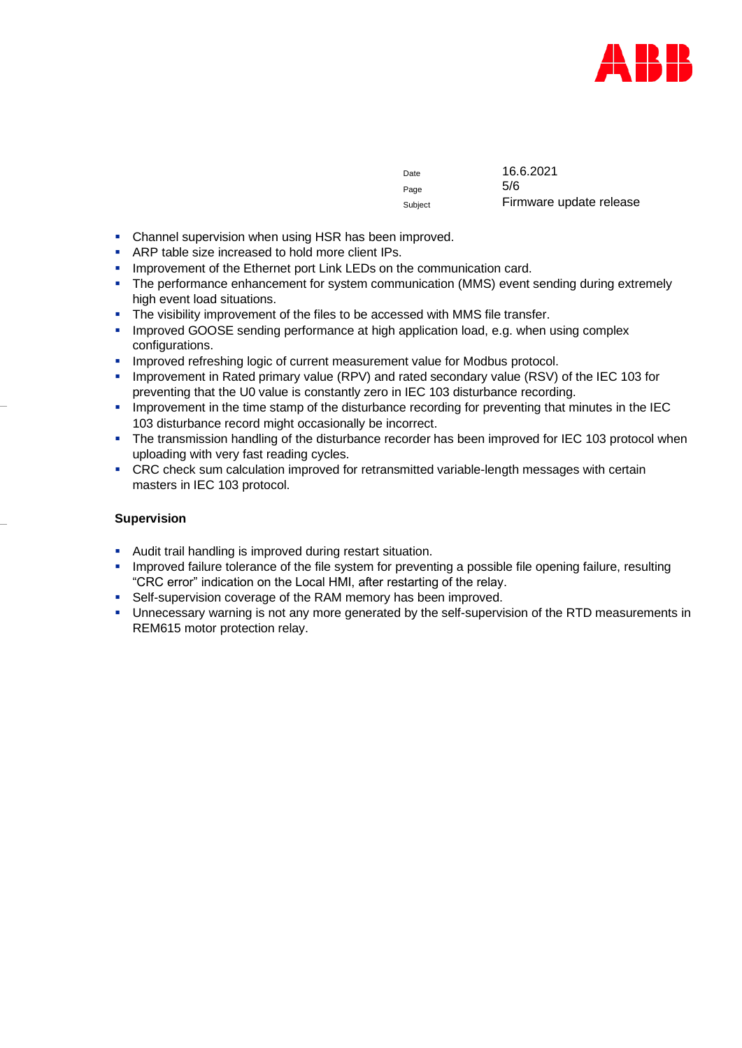

| Date    | 16.6.2021               |
|---------|-------------------------|
| Page    | 5/6                     |
| Subject | Firmware update release |

- **Channel supervision when using HSR has been improved.**
- ARP table size increased to hold more client IPs.
- **E** Improvement of the Ethernet port Link LEDs on the communication card.
- **•** The performance enhancement for system communication (MMS) event sending during extremely high event load situations.
- The visibility improvement of the files to be accessed with MMS file transfer.
- **·** Improved GOOSE sending performance at high application load, e.g. when using complex configurations.
- **·** Improved refreshing logic of current measurement value for Modbus protocol.
- Improvement in Rated primary value (RPV) and rated secondary value (RSV) of the IEC 103 for preventing that the U0 value is constantly zero in IEC 103 disturbance recording.
- **.** Improvement in the time stamp of the disturbance recording for preventing that minutes in the IEC 103 disturbance record might occasionally be incorrect.
- The transmission handling of the disturbance recorder has been improved for IEC 103 protocol when uploading with very fast reading cycles.
- CRC check sum calculation improved for retransmitted variable-length messages with certain masters in IEC 103 protocol.

#### **Supervision**

- Audit trail handling is improved during restart situation.
- Improved failure tolerance of the file system for preventing a possible file opening failure, resulting "CRC error" indication on the Local HMI, after restarting of the relay.
- Self-supervision coverage of the RAM memory has been improved.
- Unnecessary warning is not any more generated by the self-supervision of the RTD measurements in REM615 motor protection relay.